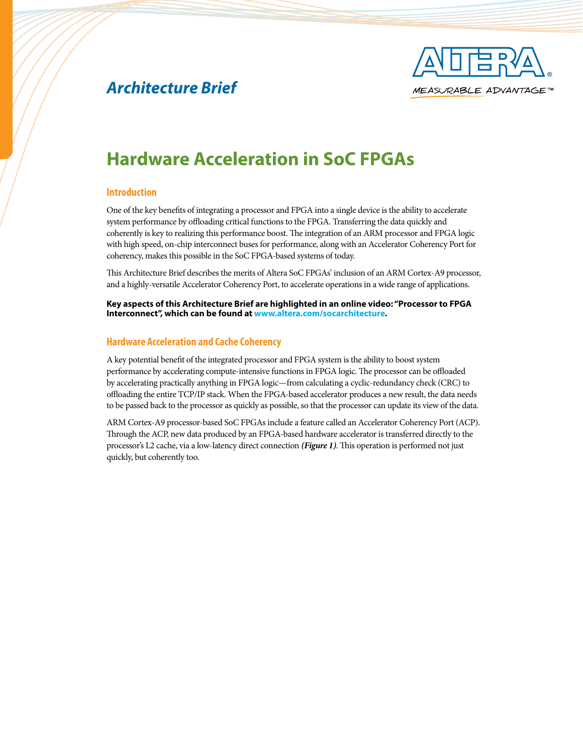

## *Architecture Brief*

# **Hardware Acceleration in SoC FPGAs**

### **Introduction**

One of the key benefits of integrating a processor and FPGA into a single device is the ability to accelerate system performance by offloading critical functions to the FPGA. Transferring the data quickly and coherently is key to realizing this performance boost. The integration of an ARM processor and FPGA logic with high speed, on-chip interconnect buses for performance, along with an Accelerator Coherency Port for coherency, makes this possible in the SoC FPGA-based systems of today.

This Architecture Brief describes the merits of Altera SoC FPGAs' inclusion of an ARM Cortex-A9 processor, and a highly-versatile Accelerator Coherency Port, to accelerate operations in a wide range of applications.

**Key aspects of this Architecture Brief are highlighted in an online video: "Processor to FPGA Interconnect", which can be found at<www.altera.com/socarchitecture>.** 

#### **Hardware Acceleration and Cache Coherency**

A key potential benefit of the integrated processor and FPGA system is the ability to boost system performance by accelerating compute-intensive functions in FPGA logic. The processor can be offloaded by accelerating practically anything in FPGA logic—from calculating a cyclic-redundancy check (CRC) to offloading the entire TCP/IP stack. When the FPGA-based accelerator produces a new result, the data needs to be passed back to the processor as quickly as possible, so that the processor can update its view of the data.

ARM Cortex-A9 processor-based SoC FPGAs include a feature called an Accelerator Coherency Port (ACP). Through the ACP, new data produced by an FPGA-based hardware accelerator is transferred directly to the processor's L2 cache, via a low-latency direct connection *(Figure 1)*. This operation is performed not just quickly, but coherently too.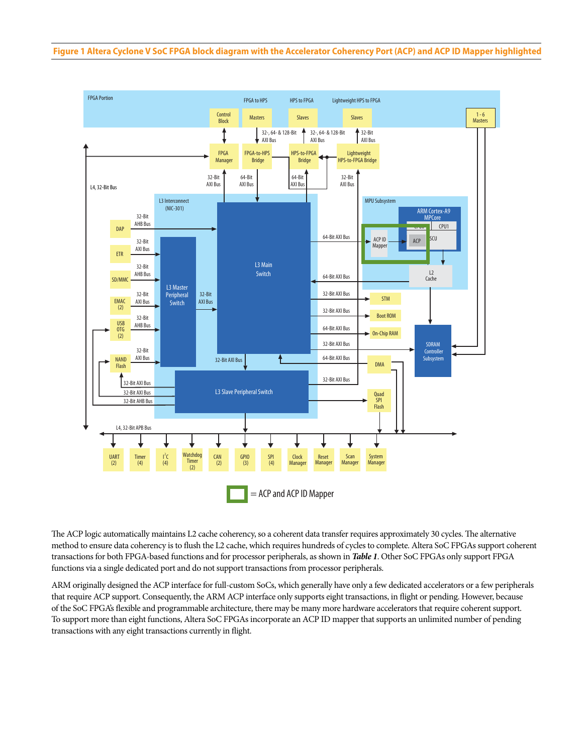

The ACP logic automatically maintains L2 cache coherency, so a coherent data transfer requires approximately 30 cycles. The alternative method to ensure data coherency is to flush the L2 cache, which requires hundreds of cycles to complete. Altera SoC FPGAs support coherent transactions for both FPGA-based functions and for processor peripherals, as shown in *Table 1*. Other SoC FPGAs only support FPGA functions via a single dedicated port and do not support transactions from processor peripherals.

ARM originally designed the ACP interface for full-custom SoCs, which generally have only a few dedicated accelerators or a few peripherals that require ACP support. Consequently, the ARM ACP interface only supports eight transactions, in flight or pending. However, because of the SoC FPGA's flexible and programmable architecture, there may be many more hardware accelerators that require coherent support. To support more than eight functions, Altera SoC FPGAs incorporate an ACP ID mapper that supports an unlimited number of pending transactions with any eight transactions currently in flight.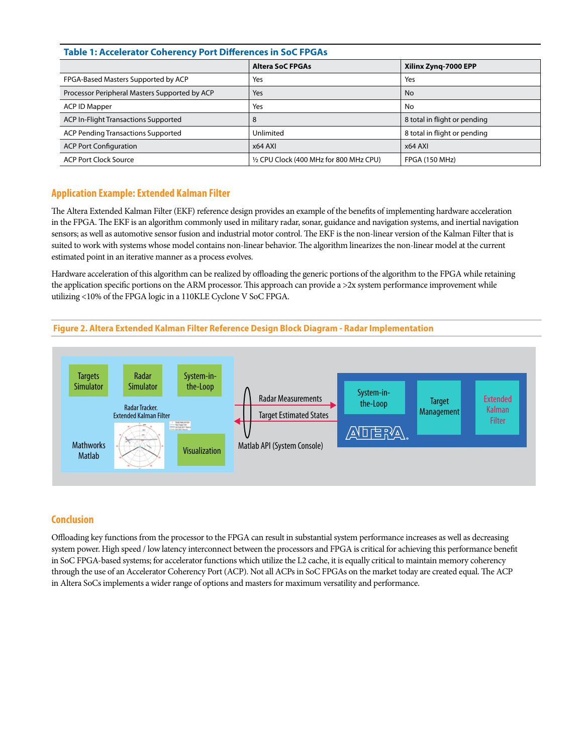### **Table 1: Accelerator Coherency Port Differences in SoC FPGAs**

|                                               | <b>Altera SoC FPGAs</b>                 | Xilinx Zyng-7000 EPP         |
|-----------------------------------------------|-----------------------------------------|------------------------------|
| FPGA-Based Masters Supported by ACP           | Yes                                     | Yes                          |
| Processor Peripheral Masters Supported by ACP | Yes                                     | <b>No</b>                    |
| <b>ACP ID Mapper</b>                          | Yes                                     | No                           |
| <b>ACP In-Flight Transactions Supported</b>   | 8                                       | 8 total in flight or pending |
| <b>ACP Pending Transactions Supported</b>     | Unlimited                               | 8 total in flight or pending |
| <b>ACP Port Configuration</b>                 | $x64$ AXI                               | x64 AXI                      |
| <b>ACP Port Clock Source</b>                  | 1/2 CPU Clock (400 MHz for 800 MHz CPU) | <b>FPGA (150 MHz)</b>        |

## **Application Example: Extended Kalman Filter**

The Altera Extended Kalman Filter (EKF) reference design provides an example of the benefits of implementing hardware acceleration in the FPGA. The EKF is an algorithm commonly used in military radar, sonar, guidance and navigation systems, and inertial navigation sensors; as well as automotive sensor fusion and industrial motor control. The EKF is the non-linear version of the Kalman Filter that is suited to work with systems whose model contains non-linear behavior. The algorithm linearizes the non-linear model at the current estimated point in an iterative manner as a process evolves.

Hardware acceleration of this algorithm can be realized by offloading the generic portions of the algorithm to the FPGA while retaining the application specific portions on the ARM processor. This approach can provide a  $>2x$  system performance improvement while utilizing <10% of the FPGA logic in a 110KLE Cyclone V SoC FPGA.





## **Conclusion**

Offloading key functions from the processor to the FPGA can result in substantial system performance increases as well as decreasing system power. High speed / low latency interconnect between the processors and FPGA is critical for achieving this performance benefit in SoC FPGA-based systems; for accelerator functions which utilize the L2 cache, it is equally critical to maintain memory coherency through the use of an Accelerator Coherency Port (ACP). Not all ACPs in SoC FPGAs on the market today are created equal. The ACP in Altera SoCs implements a wider range of options and masters for maximum versatility and performance.